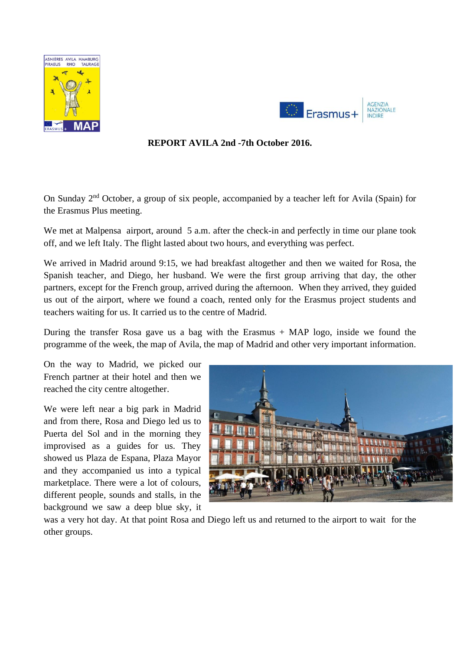



### **REPORT AVILA 2nd -7th October 2016.**

On Sunday 2<sup>nd</sup> October, a group of six people, accompanied by a teacher left for Avila (Spain) for the Erasmus Plus meeting.

We met at Malpensa airport, around 5 a.m. after the check-in and perfectly in time our plane took off, and we left Italy. The flight lasted about two hours, and everything was perfect.

We arrived in Madrid around 9:15, we had breakfast altogether and then we waited for Rosa, the Spanish teacher, and Diego, her husband. We were the first group arriving that day, the other partners, except for the French group, arrived during the afternoon. When they arrived, they guided us out of the airport, where we found a coach, rented only for the Erasmus project students and teachers waiting for us. It carried us to the centre of Madrid.

During the transfer Rosa gave us a bag with the Erasmus  $+$  MAP logo, inside we found the programme of the week, the map of Avila, the map of Madrid and other very important information.

On the way to Madrid, we picked our French partner at their hotel and then we reached the city centre altogether.

We were left near a big park in Madrid and from there, Rosa and Diego led us to Puerta del Sol and in the morning they improvised as a guides for us. They showed us Plaza de Espana, Plaza Mayor and they accompanied us into a typical marketplace. There were a lot of colours, different people, sounds and stalls, in the background we saw a deep blue sky, it



was a very hot day. At that point Rosa and Diego left us and returned to the airport to wait for the other groups.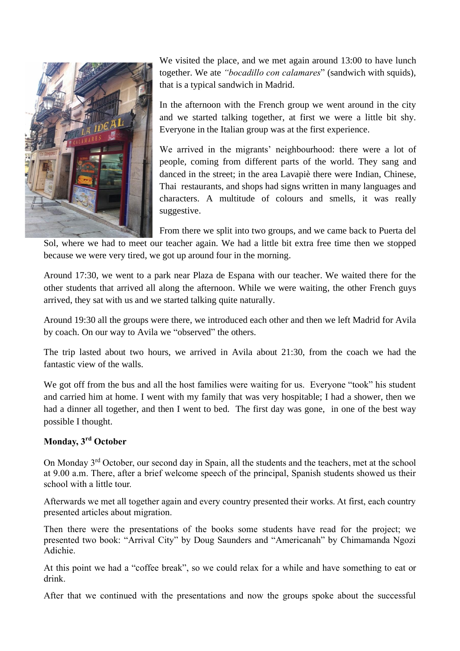

We visited the place, and we met again around 13:00 to have lunch together. We ate *"bocadillo con calamares*" (sandwich with squids), that is a typical sandwich in Madrid.

In the afternoon with the French group we went around in the city and we started talking together, at first we were a little bit shy. Everyone in the Italian group was at the first experience.

We arrived in the migrants' neighbourhood: there were a lot of people, coming from different parts of the world. They sang and danced in the street; in the area Lavapiè there were Indian, Chinese, Thai restaurants, and shops had signs written in many languages and characters. A multitude of colours and smells, it was really suggestive.

From there we split into two groups, and we came back to Puerta del

Sol, where we had to meet our teacher again. We had a little bit extra free time then we stopped because we were very tired, we got up around four in the morning.

Around 17:30, we went to a park near Plaza de Espana with our teacher. We waited there for the other students that arrived all along the afternoon. While we were waiting, the other French guys arrived, they sat with us and we started talking quite naturally.

Around 19:30 all the groups were there, we introduced each other and then we left Madrid for Avila by coach. On our way to Avila we "observed" the others.

The trip lasted about two hours, we arrived in Avila about 21:30, from the coach we had the fantastic view of the walls.

We got off from the bus and all the host families were waiting for us. Everyone "took" his student and carried him at home. I went with my family that was very hospitable; I had a shower, then we had a dinner all together, and then I went to bed. The first day was gone, in one of the best way possible I thought.

### **Monday, 3 rd October**

On Monday 3rd October, our second day in Spain, all the students and the teachers, met at the school at 9.00 a.m. There, after a brief welcome speech of the principal, Spanish students showed us their school with a little tour.

Afterwards we met all together again and every country presented their works. At first, each country presented articles about migration.

Then there were the presentations of the books some students have read for the project; we presented two book: "Arrival City" by Doug Saunders and "Americanah" by Chimamanda Ngozi Adichie.

At this point we had a "coffee break", so we could relax for a while and have something to eat or drink.

After that we continued with the presentations and now the groups spoke about the successful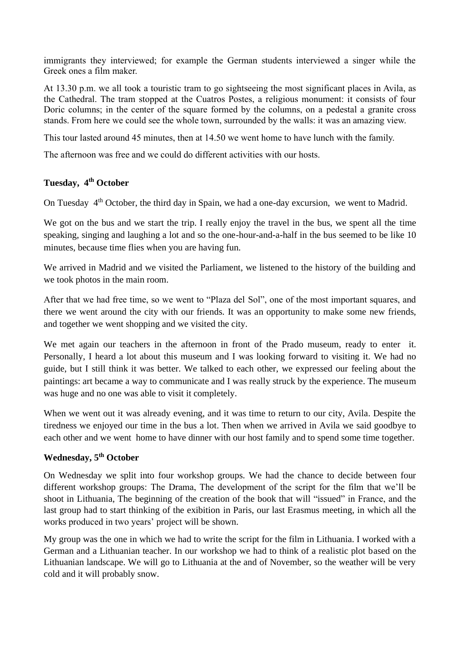immigrants they interviewed; for example the German students interviewed a singer while the Greek ones a film maker.

At 13.30 p.m. we all took a touristic tram to go sightseeing the most significant places in Avila, as the Cathedral. The tram stopped at the Cuatros Postes, a religious monument: it consists of four Doric columns; in the center of the square formed by the columns, on a pedestal a granite cross stands. From here we could see the whole town, surrounded by the walls: it was an amazing view.

This tour lasted around 45 minutes, then at 14.50 we went home to have lunch with the family.

The afternoon was free and we could do different activities with our hosts.

# **Tuesday, 4 th October**

On Tuesday 4<sup>th</sup> October, the third day in Spain, we had a one-day excursion, we went to Madrid.

We got on the bus and we start the trip. I really enjoy the travel in the bus, we spent all the time speaking, singing and laughing a lot and so the one-hour-and-a-half in the bus seemed to be like 10 minutes, because time flies when you are having fun.

We arrived in Madrid and we visited the Parliament, we listened to the history of the building and we took photos in the main room.

After that we had free time, so we went to "Plaza del Sol", one of the most important squares, and there we went around the city with our friends. It was an opportunity to make some new friends, and together we went shopping and we visited the city.

We met again our teachers in the afternoon in front of the Prado museum, ready to enter it. Personally, I heard a lot about this museum and I was looking forward to visiting it. We had no guide, but I still think it was better. We talked to each other, we expressed our feeling about the paintings: art became a way to communicate and I was really struck by the experience. The museum was huge and no one was able to visit it completely.

When we went out it was already evening, and it was time to return to our city, Avila. Despite the tiredness we enjoyed our time in the bus a lot. Then when we arrived in Avila we said goodbye to each other and we went home to have dinner with our host family and to spend some time together.

### **Wednesday, 5 th October**

On Wednesday we split into four workshop groups. We had the chance to decide between four different workshop groups: The Drama, The development of the script for the film that we'll be shoot in Lithuania, The beginning of the creation of the book that will "issued" in France, and the last group had to start thinking of the exibition in Paris, our last Erasmus meeting, in which all the works produced in two years' project will be shown.

My group was the one in which we had to write the script for the film in Lithuania. I worked with a German and a Lithuanian teacher. In our workshop we had to think of a realistic plot based on the Lithuanian landscape. We will go to Lithuania at the and of November, so the weather will be very cold and it will probably snow.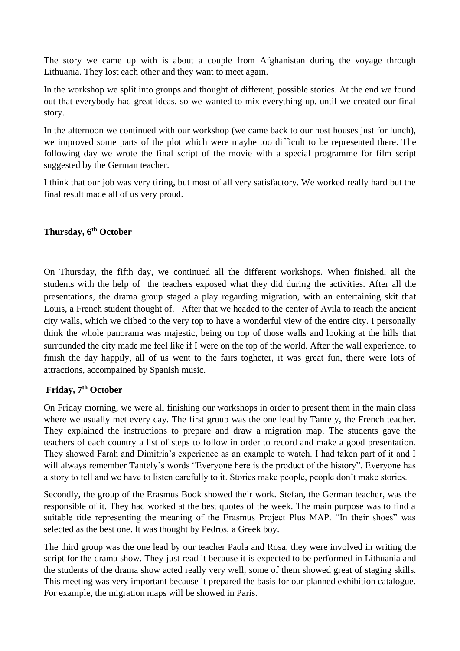The story we came up with is about a couple from Afghanistan during the voyage through Lithuania. They lost each other and they want to meet again.

In the workshop we split into groups and thought of different, possible stories. At the end we found out that everybody had great ideas, so we wanted to mix everything up, until we created our final story.

In the afternoon we continued with our workshop (we came back to our host houses just for lunch), we improved some parts of the plot which were maybe too difficult to be represented there. The following day we wrote the final script of the movie with a special programme for film script suggested by the German teacher.

I think that our job was very tiring, but most of all very satisfactory. We worked really hard but the final result made all of us very proud.

# **Thursday, 6th October**

On Thursday, the fifth day, we continued all the different workshops. When finished, all the students with the help of the teachers exposed what they did during the activities. After all the presentations, the drama group staged a play regarding migration, with an entertaining skit that Louis, a French student thought of. After that we headed to the center of Avila to reach the ancient city walls, which we clibed to the very top to have a wonderful view of the entire city. I personally think the whole panorama was majestic, being on top of those walls and looking at the hills that surrounded the city made me feel like if I were on the top of the world. After the wall experience, to finish the day happily, all of us went to the fairs togheter, it was great fun, there were lots of attractions, accompained by Spanish music.

### **Friday, 7 th October**

On Friday morning, we were all finishing our workshops in order to present them in the main class where we usually met every day. The first group was the one lead by Tantely, the French teacher. They explained the instructions to prepare and draw a migration map. The students gave the teachers of each country a list of steps to follow in order to record and make a good presentation. They showed Farah and Dimitria's experience as an example to watch. I had taken part of it and I will always remember Tantely's words "Everyone here is the product of the history". Everyone has a story to tell and we have to listen carefully to it. Stories make people, people don't make stories.

Secondly, the group of the Erasmus Book showed their work. Stefan, the German teacher, was the responsible of it. They had worked at the best quotes of the week. The main purpose was to find a suitable title representing the meaning of the Erasmus Project Plus MAP. "In their shoes" was selected as the best one. It was thought by Pedros, a Greek boy.

The third group was the one lead by our teacher Paola and Rosa, they were involved in writing the script for the drama show. They just read it because it is expected to be performed in Lithuania and the students of the drama show acted really very well, some of them showed great of staging skills. This meeting was very important because it prepared the basis for our planned exhibition catalogue. For example, the migration maps will be showed in Paris.